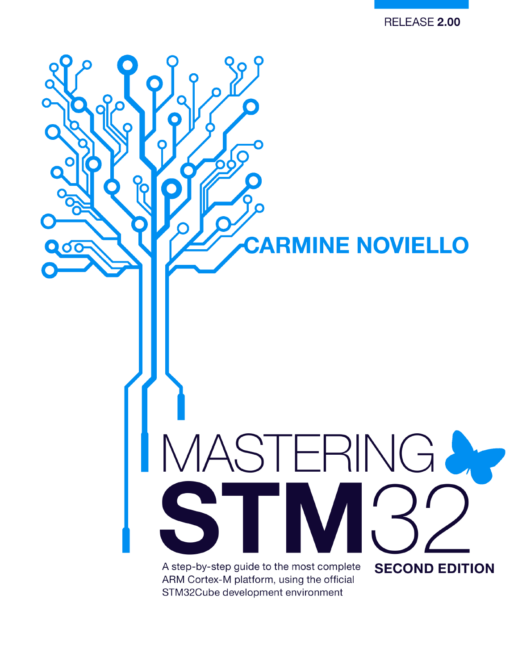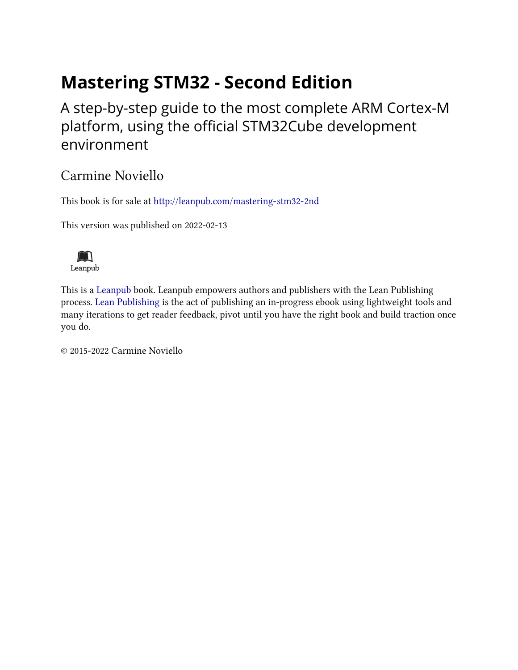## **Mastering STM32 - Second Edition**

A step-by-step guide to the most complete ARM Cortex-M platform, using the official STM32Cube development environment

### Carmine Noviello

This book is for sale at <http://leanpub.com/mastering-stm32-2nd>

This version was published on 2022-02-13



This is a [Leanpub](http://leanpub.com/) book. Leanpub empowers authors and publishers with the Lean Publishing process. [Lean Publishing](http://leanpub.com/manifesto) is the act of publishing an in-progress ebook using lightweight tools and many iterations to get reader feedback, pivot until you have the right book and build traction once you do.

© 2015-2022 Carmine Noviello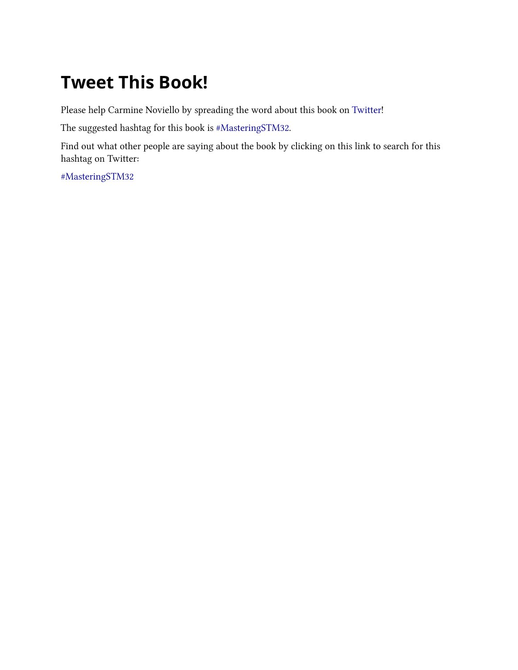# **Tweet This Book!**

Please help Carmine Noviello by spreading the word about this book on [Twitter!](http://twitter.com)

The suggested hashtag for this book is [#MasteringSTM32.](https://twitter.com/search?q=%23MasteringSTM32)

Find out what other people are saying about the book by clicking on this link to search for this hashtag on Twitter:

[#MasteringSTM32](https://twitter.com/search?q=%23MasteringSTM32)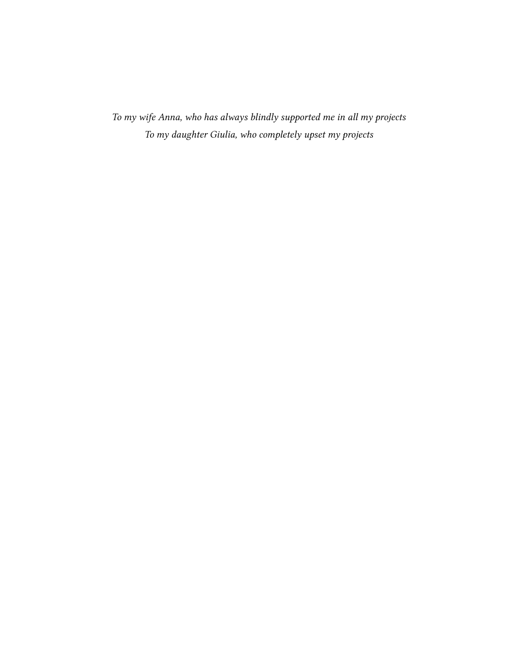*To my wife Anna, who has always blindly supported me in all my projects To my daughter Giulia, who completely upset my projects*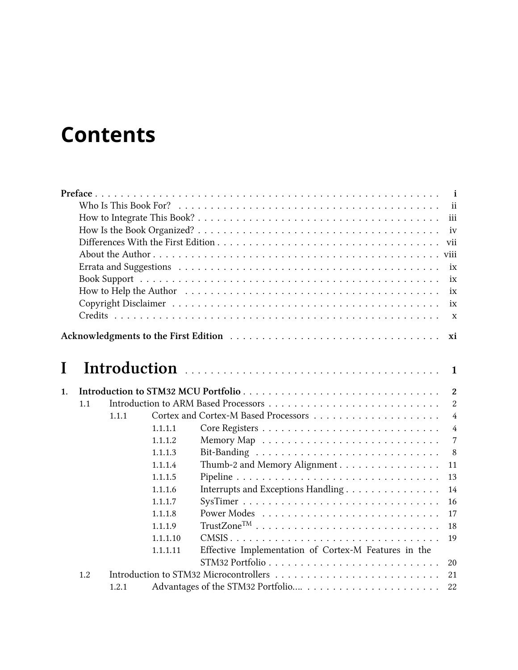# **Contents**

|    | $\mathbf{i}$ |       |          |                                                      |                |  |  |  |  |
|----|--------------|-------|----------|------------------------------------------------------|----------------|--|--|--|--|
|    |              |       |          |                                                      | ii             |  |  |  |  |
|    | iii<br>iv    |       |          |                                                      |                |  |  |  |  |
|    |              |       |          |                                                      |                |  |  |  |  |
|    |              |       |          |                                                      | vii            |  |  |  |  |
|    |              |       |          |                                                      | viii           |  |  |  |  |
|    |              |       |          |                                                      | ix             |  |  |  |  |
|    |              |       |          |                                                      | ix             |  |  |  |  |
|    |              |       |          |                                                      | ix             |  |  |  |  |
|    |              |       |          |                                                      | ix             |  |  |  |  |
|    |              |       |          |                                                      | $\mathbf X$    |  |  |  |  |
|    |              |       |          |                                                      |                |  |  |  |  |
|    |              |       |          |                                                      | xi             |  |  |  |  |
|    |              |       |          |                                                      |                |  |  |  |  |
| I  |              |       |          |                                                      | 1              |  |  |  |  |
|    |              |       |          |                                                      |                |  |  |  |  |
| 1. |              |       |          |                                                      | $\overline{2}$ |  |  |  |  |
|    | 1.1          |       |          |                                                      | $\overline{2}$ |  |  |  |  |
|    |              | 1.1.1 |          |                                                      | $\overline{4}$ |  |  |  |  |
|    |              |       | 1.1.1.1  |                                                      | $\overline{4}$ |  |  |  |  |
|    |              |       | 1.1.1.2  |                                                      | $\overline{7}$ |  |  |  |  |
|    |              |       | 1.1.1.3  |                                                      | 8              |  |  |  |  |
|    |              |       | 1.1.1.4  | Thumb-2 and Memory Alignment                         | 11             |  |  |  |  |
|    |              |       | 1.1.1.5  |                                                      | 13             |  |  |  |  |
|    |              |       | 1.1.1.6  | Interrupts and Exceptions Handling                   | 14             |  |  |  |  |
|    |              |       | 1.1.1.7  |                                                      | 16             |  |  |  |  |
|    |              |       | 1.1.1.8  |                                                      | 17             |  |  |  |  |
|    |              |       | 1.1.1.9  |                                                      | 18             |  |  |  |  |
|    |              |       | 1.1.1.10 |                                                      | 19             |  |  |  |  |
|    |              |       | 1.1.1.11 | Effective Implementation of Cortex-M Features in the |                |  |  |  |  |
|    |              |       |          |                                                      | $20\,$         |  |  |  |  |
|    | 1.2          |       |          |                                                      | 21             |  |  |  |  |
|    |              | 1.2.1 |          |                                                      | 22             |  |  |  |  |
|    |              |       |          |                                                      |                |  |  |  |  |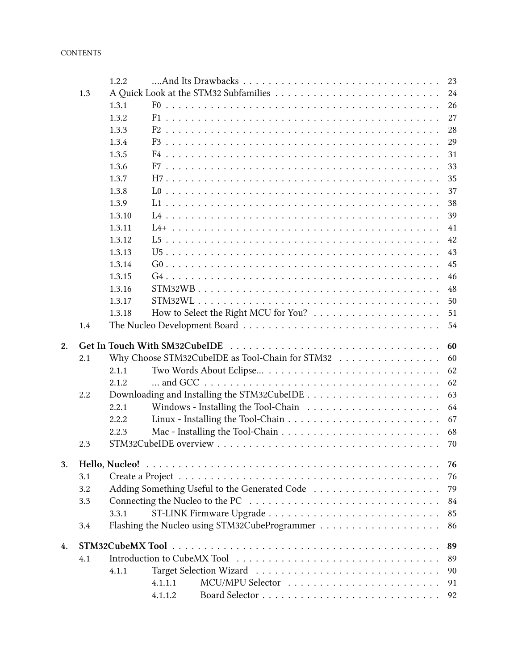|    |     | 1.2.2  |                                                                                 | 23       |  |  |
|----|-----|--------|---------------------------------------------------------------------------------|----------|--|--|
|    | 1.3 |        |                                                                                 |          |  |  |
|    |     | 1.3.1  |                                                                                 | 24<br>26 |  |  |
|    |     | 1.3.2  |                                                                                 | 27       |  |  |
|    |     | 1.3.3  |                                                                                 | 28       |  |  |
|    |     | 1.3.4  |                                                                                 | 29       |  |  |
|    |     | 1.3.5  |                                                                                 | 31       |  |  |
|    |     | 1.3.6  |                                                                                 | 33       |  |  |
|    |     | 1.3.7  |                                                                                 | 35       |  |  |
|    |     | 1.3.8  |                                                                                 | 37       |  |  |
|    |     | 1.3.9  |                                                                                 | 38       |  |  |
|    |     |        |                                                                                 |          |  |  |
|    |     | 1.3.10 |                                                                                 | 39       |  |  |
|    |     | 1.3.11 |                                                                                 | 41       |  |  |
|    |     | 1.3.12 |                                                                                 | 42       |  |  |
|    |     | 1.3.13 |                                                                                 | 43       |  |  |
|    |     | 1.3.14 |                                                                                 | 45       |  |  |
|    |     | 1.3.15 |                                                                                 | 46       |  |  |
|    |     | 1.3.16 |                                                                                 | 48       |  |  |
|    |     | 1.3.17 |                                                                                 | 50       |  |  |
|    |     | 1.3.18 |                                                                                 | 51       |  |  |
|    | 1.4 |        |                                                                                 | 54       |  |  |
| 2. |     |        |                                                                                 | 60       |  |  |
|    | 2.1 |        | Why Choose STM32CubeIDE as Tool-Chain for STM32                                 | 60       |  |  |
|    |     | 2.1.1  |                                                                                 | 62       |  |  |
|    |     | 2.1.2  |                                                                                 | 62       |  |  |
|    |     |        |                                                                                 |          |  |  |
|    |     |        |                                                                                 |          |  |  |
|    | 2.2 |        |                                                                                 | 63       |  |  |
|    |     | 2.2.1  | Windows - Installing the Tool-Chain $\ldots \ldots \ldots \ldots \ldots \ldots$ | 64       |  |  |
|    |     | 2.2.2  |                                                                                 | 67       |  |  |
|    |     | 2.2.3  |                                                                                 | 68       |  |  |
|    | 2.3 |        |                                                                                 | 70       |  |  |
| 3. |     |        |                                                                                 | 76       |  |  |
|    | 3.1 |        |                                                                                 | 76       |  |  |
|    | 3.2 |        |                                                                                 | 79       |  |  |
|    | 3.3 |        |                                                                                 | 84       |  |  |
|    |     | 3.3.1  |                                                                                 | 85       |  |  |
|    | 3.4 |        |                                                                                 | 86       |  |  |
|    |     |        |                                                                                 |          |  |  |
|    |     |        |                                                                                 | 89       |  |  |
| 4. | 4.1 |        |                                                                                 | 89       |  |  |
|    |     | 4.1.1  |                                                                                 | 90       |  |  |
|    |     |        | 4.1.1.1<br>4.1.1.2                                                              | 91<br>92 |  |  |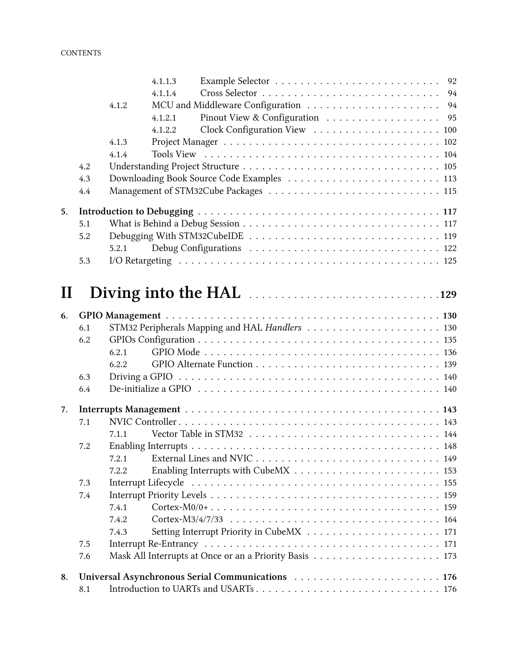|          |     |       | 4.1.1.3 |                                                                                             |  |
|----------|-----|-------|---------|---------------------------------------------------------------------------------------------|--|
|          |     |       | 4.1.1.4 |                                                                                             |  |
|          |     | 4.1.2 |         |                                                                                             |  |
|          |     |       | 4.1.2.1 | Pinout View & Configuration 95                                                              |  |
|          |     |       | 4.1.2.2 |                                                                                             |  |
|          |     | 4.1.3 |         |                                                                                             |  |
|          |     | 4.1.4 |         |                                                                                             |  |
|          | 4.2 |       |         |                                                                                             |  |
|          | 4.3 |       |         |                                                                                             |  |
|          | 4.4 |       |         |                                                                                             |  |
| 5.       |     |       |         |                                                                                             |  |
|          | 5.1 |       |         |                                                                                             |  |
|          | 5.2 |       |         |                                                                                             |  |
|          |     | 5.2.1 |         |                                                                                             |  |
|          | 5.3 |       |         |                                                                                             |  |
|          |     |       |         |                                                                                             |  |
| $\bf{l}$ |     |       |         |                                                                                             |  |
| 6.       |     |       |         |                                                                                             |  |
|          | 6.1 |       |         |                                                                                             |  |
|          | 6.2 |       |         |                                                                                             |  |
|          |     | 6.2.1 |         |                                                                                             |  |
|          |     | 6.2.2 |         |                                                                                             |  |
|          | 6.3 |       |         |                                                                                             |  |
|          | 6.4 |       |         |                                                                                             |  |
| 7.       |     |       |         |                                                                                             |  |
|          | 7.1 |       |         |                                                                                             |  |
|          |     | 7.1.1 |         |                                                                                             |  |
|          | 7.2 |       |         |                                                                                             |  |
|          |     | 7.2.1 |         |                                                                                             |  |
|          |     | 7.2.2 |         |                                                                                             |  |
|          | 7.3 |       |         |                                                                                             |  |
|          | 7.4 |       |         |                                                                                             |  |
|          |     | 7.4.1 |         | $\text{Cortex-M0/0+}\dots\dots\dots\dots\dots\dots\dots\dots\dots\dots\dots\dots\dots\ 159$ |  |
|          |     | 7.4.2 |         |                                                                                             |  |
|          |     | 7.4.3 |         |                                                                                             |  |
|          | 7.5 |       |         |                                                                                             |  |
|          | 7.6 |       |         |                                                                                             |  |
| 8.       |     |       |         |                                                                                             |  |
|          | 8.1 |       |         |                                                                                             |  |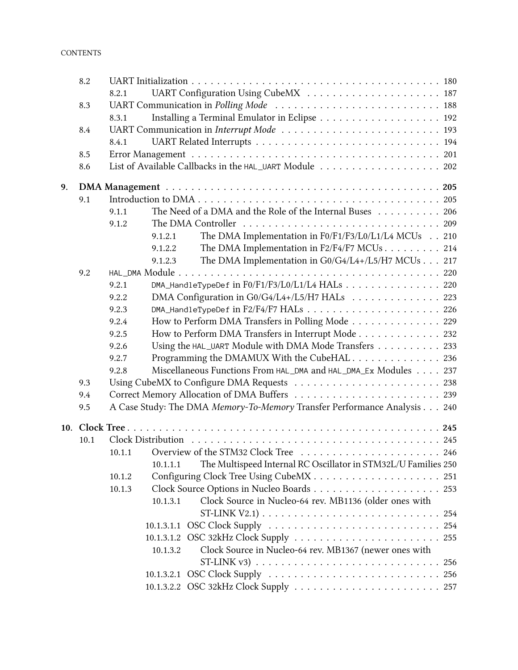|    | 8.2  |                                                                            |  |
|----|------|----------------------------------------------------------------------------|--|
|    |      | 8.2.1                                                                      |  |
|    | 8.3  | UART Communication in Polling Mode  188                                    |  |
|    |      | 8.3.1                                                                      |  |
|    | 8.4  |                                                                            |  |
|    |      | 8.4.1                                                                      |  |
|    | 8.5  |                                                                            |  |
|    | 8.6  |                                                                            |  |
| 9. |      |                                                                            |  |
|    | 9.1  |                                                                            |  |
|    |      | The Need of a DMA and the Role of the Internal Buses 206<br>9.1.1          |  |
|    |      | 9.1.2                                                                      |  |
|    |      | The DMA Implementation in F0/F1/F3/L0/L1/L4 MCUs 210<br>9.1.2.1            |  |
|    |      | 9.1.2.2<br>The DMA Implementation in F2/F4/F7 MCUs 214                     |  |
|    |      | The DMA Implementation in G0/G4/L4+/L5/H7 MCUs 217<br>9.1.2.3              |  |
|    | 9.2  |                                                                            |  |
|    |      | DMA_HandleTypeDef in F0/F1/F3/L0/L1/L4 HALs 220<br>9.2.1                   |  |
|    |      | DMA Configuration in G0/G4/L4+/L5/H7 HALs 223<br>9.2.2                     |  |
|    |      | 9.2.3                                                                      |  |
|    |      | 9.2.4<br>How to Perform DMA Transfers in Polling Mode 229                  |  |
|    |      | How to Perform DMA Transfers in Interrupt Mode 232<br>9.2.5                |  |
|    |      | Using the HAL_UART Module with DMA Mode Transfers 233<br>9.2.6             |  |
|    |      | Programming the DMAMUX With the CubeHAL 236<br>9.2.7                       |  |
|    |      | Miscellaneous Functions From HAL_DMA and HAL_DMA_Ex Modules 237<br>9.2.8   |  |
|    | 9.3  |                                                                            |  |
|    | 9.4  |                                                                            |  |
|    | 9.5  | A Case Study: The DMA Memory-To-Memory Transfer Performance Analysis 240   |  |
|    |      |                                                                            |  |
|    | 10.1 |                                                                            |  |
|    |      |                                                                            |  |
|    |      | The Multispeed Internal RC Oscillator in STM32L/U Families 250<br>10.1.1.1 |  |
|    |      | 10.1.2                                                                     |  |
|    |      | 10.1.3                                                                     |  |
|    |      | 10.1.3.1<br>Clock Source in Nucleo-64 rev. MB1136 (older ones with         |  |
|    |      |                                                                            |  |
|    |      |                                                                            |  |
|    |      |                                                                            |  |
|    |      | Clock Source in Nucleo-64 rev. MB1367 (newer ones with<br>10.1.3.2         |  |
|    |      |                                                                            |  |
|    |      |                                                                            |  |
|    |      |                                                                            |  |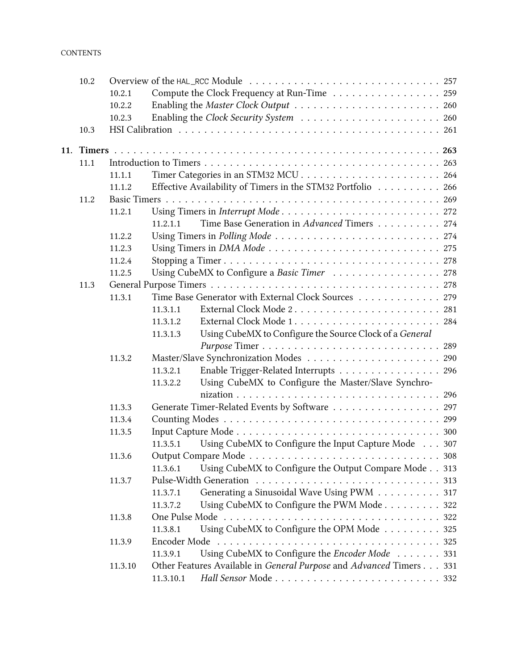### **CONTENTS**

| 10.2 |         |           |                                                                     |
|------|---------|-----------|---------------------------------------------------------------------|
|      | 10.2.1  |           | Compute the Clock Frequency at Run-Time 259                         |
|      | 10.2.2  |           |                                                                     |
|      | 10.2.3  |           |                                                                     |
| 10.3 |         |           |                                                                     |
|      |         |           |                                                                     |
|      |         |           |                                                                     |
| 11.1 |         |           |                                                                     |
|      | 11.1.1  |           |                                                                     |
|      | 11.1.2  |           | Effective Availability of Timers in the STM32 Portfolio 266         |
| 11.2 |         |           |                                                                     |
|      | 11.2.1  |           |                                                                     |
|      |         | 11.2.1.1  | Time Base Generation in Advanced Timers 274                         |
|      | 11.2.2  |           |                                                                     |
|      | 11.2.3  |           |                                                                     |
|      | 11.2.4  |           |                                                                     |
|      | 11.2.5  |           | Using CubeMX to Configure a Basic Timer 278                         |
| 11.3 |         |           |                                                                     |
|      | 11.3.1  |           | Time Base Generator with External Clock Sources 279                 |
|      |         | 11.3.1.1  | External Clock Mode 2 281                                           |
|      |         | 11.3.1.2  |                                                                     |
|      |         | 11.3.1.3  | Using CubeMX to Configure the Source Clock of a General             |
|      |         |           |                                                                     |
|      | 11.3.2  |           |                                                                     |
|      |         | 11.3.2.1  | Enable Trigger-Related Interrupts 296                               |
|      |         | 11.3.2.2  | Using CubeMX to Configure the Master/Slave Synchro-                 |
|      |         |           |                                                                     |
|      | 11.3.3  |           | Generate Timer-Related Events by Software 297                       |
|      | 11.3.4  |           |                                                                     |
|      | 11.3.5  |           |                                                                     |
|      |         | 11.3.5.1  | Using CubeMX to Configure the Input Capture Mode 307                |
|      | 11.3.6  |           |                                                                     |
|      |         | 11.3.6.1  | Using CubeMX to Configure the Output Compare Mode 313               |
|      | 11.3.7  |           |                                                                     |
|      |         | 11.3.7.1  | Generating a Sinusoidal Wave Using PWM 317                          |
|      |         | 11.3.7.2  | Using CubeMX to Configure the PWM Mode 322                          |
|      | 11.3.8  |           |                                                                     |
|      |         | 11.3.8.1  | Using CubeMX to Configure the OPM Mode 325                          |
|      | 11.3.9  |           | 325                                                                 |
|      |         | 11.3.9.1  | Using CubeMX to Configure the Encoder Mode 331                      |
|      | 11.3.10 |           | Other Features Available in General Purpose and Advanced Timers 331 |
|      |         | 11.3.10.1 |                                                                     |
|      |         |           |                                                                     |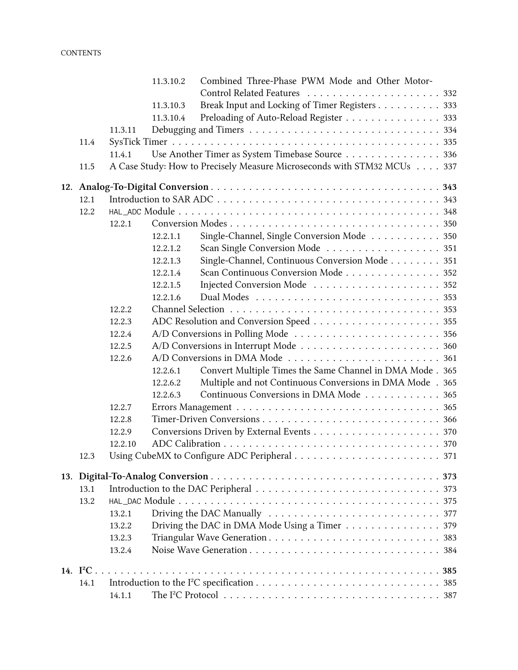### **CONTENTS**

|                   |         | 11.3.10.2 | Combined Three-Phase PWM Mode and Other Motor-                          |  |
|-------------------|---------|-----------|-------------------------------------------------------------------------|--|
|                   |         |           | Control Related Features  332                                           |  |
|                   |         | 11.3.10.3 | Break Input and Locking of Timer Registers 333                          |  |
|                   |         | 11.3.10.4 | Preloading of Auto-Reload Register 333                                  |  |
|                   | 11.3.11 |           |                                                                         |  |
| 11.4              |         |           |                                                                         |  |
|                   | 11.4.1  |           | Use Another Timer as System Timebase Source 336                         |  |
| 11.5              |         |           | A Case Study: How to Precisely Measure Microseconds with STM32 MCUs 337 |  |
|                   |         |           |                                                                         |  |
| 12.1              |         |           |                                                                         |  |
| 12.2              |         |           |                                                                         |  |
|                   | 12.2.1  |           |                                                                         |  |
|                   |         | 12.2.1.1  | Single-Channel, Single Conversion Mode 350                              |  |
|                   |         | 12.2.1.2  | Scan Single Conversion Mode 351                                         |  |
|                   |         | 12.2.1.3  | Single-Channel, Continuous Conversion Mode 351                          |  |
|                   |         | 12.2.1.4  | Scan Continuous Conversion Mode 352                                     |  |
|                   |         | 12.2.1.5  | Injected Conversion Mode  352                                           |  |
|                   |         | 12.2.1.6  |                                                                         |  |
|                   | 12.2.2  |           |                                                                         |  |
|                   | 12.2.3  |           |                                                                         |  |
|                   | 12.2.4  |           |                                                                         |  |
|                   | 12.2.5  |           |                                                                         |  |
|                   | 12.2.6  |           |                                                                         |  |
|                   |         | 12.2.6.1  | Convert Multiple Times the Same Channel in DMA Mode . 365               |  |
|                   |         | 12.2.6.2  | Multiple and not Continuous Conversions in DMA Mode . 365               |  |
|                   |         | 12.2.6.3  | Continuous Conversions in DMA Mode 365                                  |  |
|                   | 12.2.7  |           |                                                                         |  |
|                   | 12.2.8  |           |                                                                         |  |
|                   | 12.2.9  |           |                                                                         |  |
|                   | 12.2.10 |           |                                                                         |  |
| 12.3              |         |           |                                                                         |  |
|                   |         |           |                                                                         |  |
| 13.1              |         |           |                                                                         |  |
| 13.2              |         |           |                                                                         |  |
|                   | 13.2.1  |           |                                                                         |  |
|                   | 13.2.2  |           | Driving the DAC in DMA Mode Using a Timer 379                           |  |
|                   | 13.2.3  |           |                                                                         |  |
|                   | 13.2.4  |           |                                                                         |  |
| 14. $I^2C \ldots$ |         |           |                                                                         |  |
| 14.1              |         |           |                                                                         |  |
|                   | 14.1.1  |           |                                                                         |  |
|                   |         |           |                                                                         |  |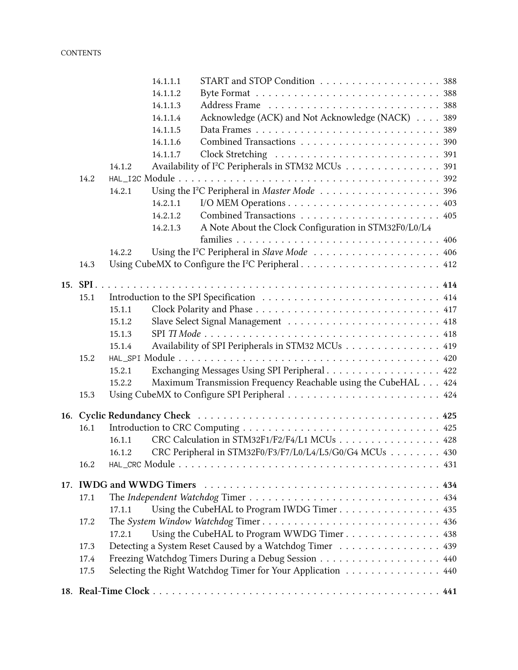|          | 14.1.1.1                 |                                                                |  |
|----------|--------------------------|----------------------------------------------------------------|--|
|          | 14.1.1.2                 |                                                                |  |
|          | 14.1.1.3                 |                                                                |  |
|          | 14.1.1.4                 | Acknowledge (ACK) and Not Acknowledge (NACK) 389               |  |
|          | 14.1.1.5                 |                                                                |  |
|          | 14.1.1.6                 |                                                                |  |
|          | 14.1.1.7                 |                                                                |  |
|          | 14.1.2                   | Availability of I <sup>2</sup> C Peripherals in STM32 MCUs 391 |  |
| 14.2     |                          |                                                                |  |
|          | 14.2.1                   |                                                                |  |
|          | 14.2.1.1                 |                                                                |  |
|          | 14.2.1.2                 |                                                                |  |
|          | 14.2.1.3                 | A Note About the Clock Configuration in STM32F0/L0/L4          |  |
|          |                          |                                                                |  |
|          | 14.2.2                   |                                                                |  |
| 14.3     |                          |                                                                |  |
| 15. SPI. |                          |                                                                |  |
| 15.1     |                          |                                                                |  |
|          | 15.1.1                   |                                                                |  |
|          | 15.1.2                   |                                                                |  |
|          | 15.1.3                   |                                                                |  |
|          | 15.1.4                   | Availability of SPI Peripherals in STM32 MCUs 419              |  |
| 15.2     |                          |                                                                |  |
|          | 15.2.1                   | Exchanging Messages Using SPI Peripheral 422                   |  |
|          | 15.2.2                   | Maximum Transmission Frequency Reachable using the CubeHAL 424 |  |
| 15.3     |                          |                                                                |  |
|          |                          |                                                                |  |
| 16.1     |                          |                                                                |  |
|          | 16.1.1                   | CRC Calculation in STM32F1/F2/F4/L1 MCUs 428                   |  |
|          | 16.1.2                   | CRC Peripheral in STM32F0/F3/F7/L0/L4/L5/G0/G4 MCUs 430        |  |
| 16.2     |                          |                                                                |  |
|          | 17. IWDG and WWDG Timers |                                                                |  |
| 17.1     |                          |                                                                |  |
|          | 17.1.1                   | Using the CubeHAL to Program IWDG Timer 435                    |  |
| 17.2     |                          | The System Window Watchdog Timer 436                           |  |
|          | 17.2.1                   | Using the CubeHAL to Program WWDG Timer 438                    |  |
| 17.3     |                          | Detecting a System Reset Caused by a Watchdog Timer 439        |  |
| 17.4     |                          | Freezing Watchdog Timers During a Debug Session 440            |  |
| 17.5     |                          | Selecting the Right Watchdog Timer for Your Application 440    |  |
|          |                          |                                                                |  |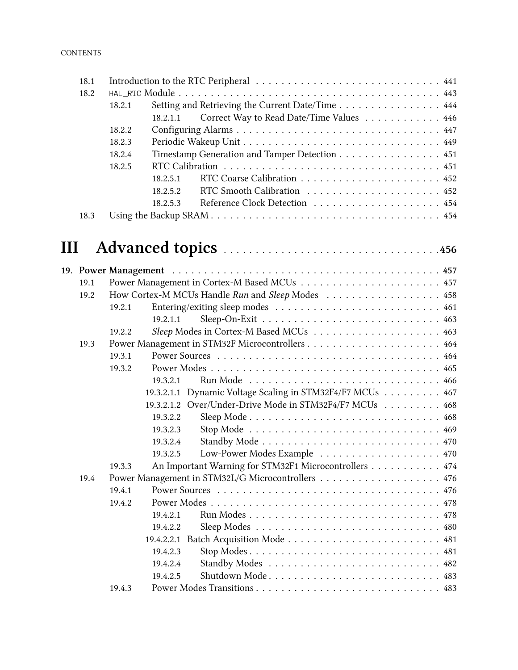| 18.1 |        |                                               |                                                  |  |  |
|------|--------|-----------------------------------------------|--------------------------------------------------|--|--|
| 18.2 |        |                                               |                                                  |  |  |
|      | 18.2.1 |                                               | Setting and Retrieving the Current Date/Time 444 |  |  |
|      |        | 18.2.1.1                                      | Correct Way to Read Date/Time Values 446         |  |  |
|      | 18.2.2 |                                               |                                                  |  |  |
|      | 18.2.3 |                                               |                                                  |  |  |
|      | 18.2.4 | Timestamp Generation and Tamper Detection 451 |                                                  |  |  |
|      | 18.2.5 |                                               |                                                  |  |  |
|      |        | 18.2.5.1                                      |                                                  |  |  |
|      |        | 18.2.5.2                                      |                                                  |  |  |
|      |        | 18.2.5.3                                      |                                                  |  |  |
| 18.3 |        |                                               |                                                  |  |  |

| Ш |      |                                                                 |
|---|------|-----------------------------------------------------------------|
|   |      |                                                                 |
|   | 19.1 |                                                                 |
|   | 19.2 | How Cortex-M MCUs Handle Run and Sleep Modes 458                |
|   |      | 19.2.1                                                          |
|   |      | 19.2.1.1                                                        |
|   |      | 19.2.2                                                          |
|   | 19.3 |                                                                 |
|   |      | 19.3.1                                                          |
|   |      | 19.3.2                                                          |
|   |      | 19.3.2.1                                                        |
|   |      | 19.3.2.1.1 Dynamic Voltage Scaling in STM32F4/F7 MCUs 467       |
|   |      | 19.3.2.1.2 Over/Under-Drive Mode in STM32F4/F7 MCUs  468        |
|   |      | 19.3.2.2                                                        |
|   |      | 19.3.2.3                                                        |
|   |      | 19.3.2.4                                                        |
|   |      | 19.3.2.5                                                        |
|   |      | An Important Warning for STM32F1 Microcontrollers 474<br>19.3.3 |
|   | 19.4 | Power Management in STM32L/G Microcontrollers 476               |
|   |      | 19.4.1                                                          |
|   |      | 19.4.2                                                          |
|   |      | 19.4.2.1                                                        |
|   |      | 19.4.2.2                                                        |
|   |      | 19.4.2.2.1                                                      |
|   |      | 19.4.2.3                                                        |
|   |      | 19.4.2.4                                                        |
|   |      | Shutdown Mode 483<br>19.4.2.5                                   |

19.4.3 Power Modes Transitions . . . . . . . . . . . . . . . . . . . . . . . . . . . . . 483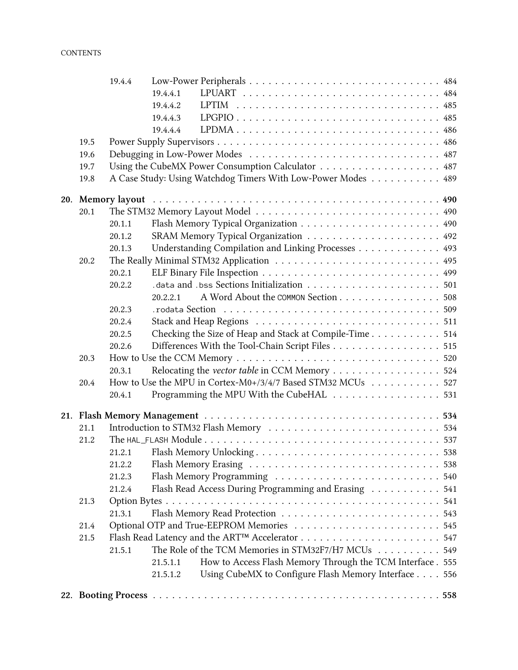|      | 19.4.4 |          |                                                              |  |
|------|--------|----------|--------------------------------------------------------------|--|
|      |        | 19.4.4.1 |                                                              |  |
|      |        | 19.4.4.2 |                                                              |  |
|      |        | 19.4.4.3 |                                                              |  |
|      |        | 19.4.4.4 | LPDMA 486                                                    |  |
| 19.5 |        |          |                                                              |  |
| 19.6 |        |          |                                                              |  |
| 19.7 |        |          | Using the CubeMX Power Consumption Calculator 487            |  |
| 19.8 |        |          | A Case Study: Using Watchdog Timers With Low-Power Modes 489 |  |
|      |        |          |                                                              |  |
| 20.1 |        |          |                                                              |  |
|      | 20.1.1 |          |                                                              |  |
|      | 20.1.2 |          |                                                              |  |
|      | 20.1.3 |          | Understanding Compilation and Linking Processes 493          |  |
| 20.2 |        |          |                                                              |  |
|      | 20.2.1 |          |                                                              |  |
|      | 20.2.2 |          |                                                              |  |
|      |        | 20.2.2.1 | A Word About the COMMON Section 508                          |  |
|      | 20.2.3 |          |                                                              |  |
|      | 20.2.4 |          |                                                              |  |
|      | 20.2.5 |          | Checking the Size of Heap and Stack at Compile-Time 514      |  |
|      | 20.2.6 |          | Differences With the Tool-Chain Script Files 515             |  |
| 20.3 |        |          |                                                              |  |
|      | 20.3.1 |          | Relocating the vector table in CCM Memory 524                |  |
| 20.4 |        |          | How to Use the MPU in Cortex-M0+/3/4/7 Based STM32 MCUs 527  |  |
|      | 20.4.1 |          | Programming the MPU With the CubeHAL 531                     |  |
|      |        |          |                                                              |  |
| 21.1 |        |          |                                                              |  |
| 21.2 |        |          |                                                              |  |
|      |        |          |                                                              |  |
|      | 21.2.2 |          |                                                              |  |
|      | 21.2.3 |          |                                                              |  |
|      | 21.2.4 |          | Flash Read Access During Programming and Erasing 541         |  |
| 21.3 |        |          |                                                              |  |
|      | 21.3.1 |          |                                                              |  |
| 21.4 |        |          | Optional OTP and True-EEPROM Memories 545                    |  |
| 21.5 |        |          |                                                              |  |
|      | 21.5.1 |          | The Role of the TCM Memories in STM32F7/H7 MCUs 549          |  |
|      |        | 21.5.1.1 | How to Access Flash Memory Through the TCM Interface . 555   |  |
|      |        | 21.5.1.2 | Using CubeMX to Configure Flash Memory Interface 556         |  |
|      |        |          |                                                              |  |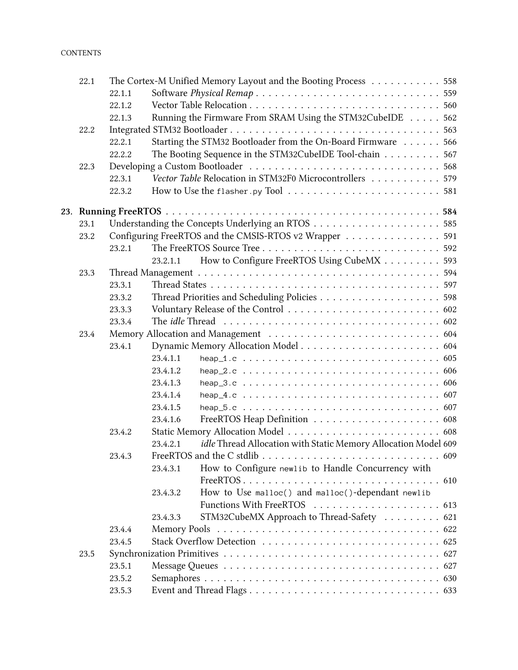| 22.1 |        |              | The Cortex-M Unified Memory Layout and the Booting Process 558                                            |
|------|--------|--------------|-----------------------------------------------------------------------------------------------------------|
|      | 22.1.1 |              |                                                                                                           |
|      | 22.1.2 |              |                                                                                                           |
|      | 22.1.3 |              | Running the Firmware From SRAM Using the STM32CubeIDE 562                                                 |
| 22.2 |        |              |                                                                                                           |
|      | 22.2.1 |              | Starting the STM32 Bootloader from the On-Board Firmware 566                                              |
|      | 22.2.2 |              | The Booting Sequence in the STM32CubeIDE Tool-chain 567                                                   |
| 22.3 |        |              |                                                                                                           |
|      | 22.3.1 |              | Vector Table Relocation in STM32F0 Microcontrollers 579                                                   |
|      | 22.3.2 |              | How to Use the flasher py Tool $\ldots \ldots \ldots \ldots \ldots \ldots \ldots \ldots 581$              |
|      |        |              |                                                                                                           |
| 23.1 |        |              |                                                                                                           |
| 23.2 |        |              | Configuring FreeRTOS and the CMSIS-RTOS v2 Wrapper 591                                                    |
|      | 23.2.1 |              |                                                                                                           |
|      |        | 23.2.1.1     | How to Configure FreeRTOS Using CubeMX 593                                                                |
| 23.3 |        |              |                                                                                                           |
|      | 23.3.1 |              |                                                                                                           |
|      | 23.3.2 |              |                                                                                                           |
|      | 23.3.3 |              |                                                                                                           |
|      | 23.3.4 |              |                                                                                                           |
| 23.4 |        |              |                                                                                                           |
|      | 23.4.1 |              |                                                                                                           |
|      |        | 23.4.1.1     | heap $1.c \ldots \ldots \ldots \ldots \ldots \ldots \ldots \ldots \ldots \ldots \ldots \ldots \ldots 605$ |
|      |        | 23.4.1.2     |                                                                                                           |
|      |        | 23.4.1.3     |                                                                                                           |
|      |        | 23.4.1.4     |                                                                                                           |
|      |        | 23.4.1.5     |                                                                                                           |
|      |        | 23.4.1.6     |                                                                                                           |
|      | 23.4.2 |              |                                                                                                           |
|      |        | 23.4.2.1     | idle Thread Allocation with Static Memory Allocation Model 609                                            |
|      | 23.4.3 |              |                                                                                                           |
|      |        | 23.4.3.1     | How to Configure newlib to Handle Concurrency with                                                        |
|      |        | 23.4.3.2     | How to Use malloc() and malloc()-dependant newlib                                                         |
|      |        |              |                                                                                                           |
|      |        | 23.4.3.3     | STM32CubeMX Approach to Thread-Safety  621                                                                |
|      | 23.4.4 | Memory Pools |                                                                                                           |
|      | 23.4.5 |              |                                                                                                           |
| 23.5 |        |              |                                                                                                           |
|      | 23.5.1 |              |                                                                                                           |
|      | 23.5.2 |              |                                                                                                           |
|      | 23.5.3 |              |                                                                                                           |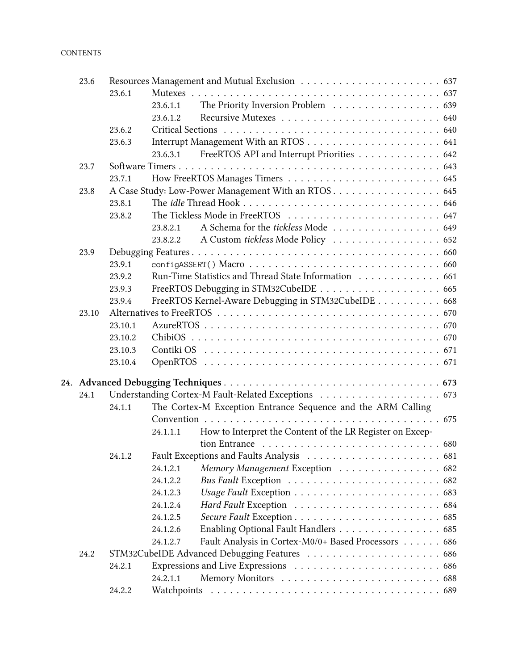### **CONTENTS**

| 23.6  |         |          |                                                                                           |  |  |
|-------|---------|----------|-------------------------------------------------------------------------------------------|--|--|
|       | 23.6.1  |          |                                                                                           |  |  |
|       |         | 23.6.1.1 | The Priority Inversion Problem 639                                                        |  |  |
|       |         | 23.6.1.2 |                                                                                           |  |  |
|       | 23.6.2  |          |                                                                                           |  |  |
|       | 23.6.3  |          |                                                                                           |  |  |
|       |         | 23.6.3.1 | FreeRTOS API and Interrupt Priorities 642                                                 |  |  |
| 23.7  |         |          |                                                                                           |  |  |
|       | 23.7.1  |          |                                                                                           |  |  |
| 23.8  |         |          | A Case Study: Low-Power Management With an RTOS 645                                       |  |  |
|       | 23.8.1  |          |                                                                                           |  |  |
|       | 23.8.2  |          |                                                                                           |  |  |
|       |         | 23.8.2.1 | A Schema for the <i>tickless</i> Mode 649                                                 |  |  |
|       |         | 23.8.2.2 | A Custom tickless Mode Policy 652                                                         |  |  |
| 23.9  |         |          |                                                                                           |  |  |
|       | 23.9.1  |          |                                                                                           |  |  |
|       | 23.9.2  |          | Run-Time Statistics and Thread State Information 661                                      |  |  |
|       | 23.9.3  |          |                                                                                           |  |  |
|       | 23.9.4  |          | FreeRTOS Kernel-Aware Debugging in STM32CubeIDE 668                                       |  |  |
| 23.10 |         |          |                                                                                           |  |  |
|       | 23.10.1 |          |                                                                                           |  |  |
|       | 23.10.2 |          |                                                                                           |  |  |
|       | 23.10.3 |          |                                                                                           |  |  |
|       | 23.10.4 |          |                                                                                           |  |  |
|       |         |          |                                                                                           |  |  |
| 24.1  |         |          |                                                                                           |  |  |
|       | 24.1.1  |          | The Cortex-M Exception Entrance Sequence and the ARM Calling                              |  |  |
|       |         |          |                                                                                           |  |  |
|       |         | 24.1.1.1 | How to Interpret the Content of the LR Register on Excep-                                 |  |  |
|       |         |          | tion Entrance $\ldots \ldots \ldots \ldots \ldots \ldots \ldots \ldots \ldots \ldots 680$ |  |  |
|       | 24.1.2  |          |                                                                                           |  |  |
|       |         | 24.1.2.1 | Memory Management Exception 682                                                           |  |  |
|       |         | 24.1.2.2 |                                                                                           |  |  |
|       |         | 24.1.2.3 |                                                                                           |  |  |
|       |         | 24.1.2.4 |                                                                                           |  |  |
|       |         | 24.1.2.5 |                                                                                           |  |  |
|       |         | 24.1.2.6 | Enabling Optional Fault Handlers 685                                                      |  |  |
|       |         | 24.1.2.7 | Fault Analysis in Cortex-M0/0+ Based Processors 686                                       |  |  |
| 24.2  |         |          |                                                                                           |  |  |
|       | 24.2.1  |          |                                                                                           |  |  |
|       |         | 24.2.1.1 |                                                                                           |  |  |
|       | 24.2.2  |          |                                                                                           |  |  |
|       |         |          |                                                                                           |  |  |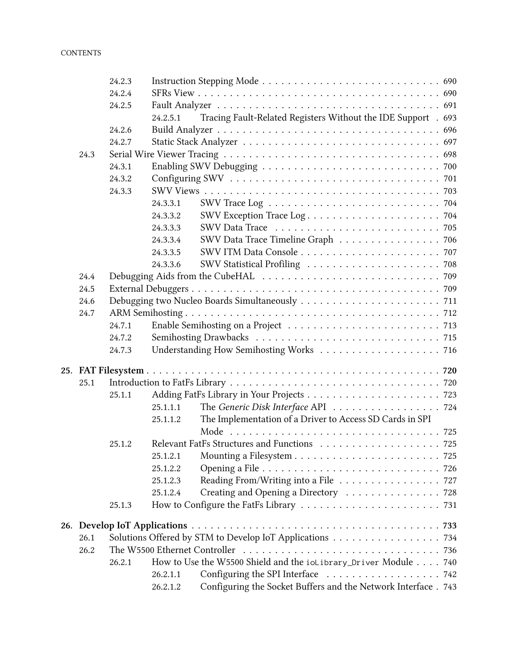|      | 24.2.3 |                               |                                                                 |  |
|------|--------|-------------------------------|-----------------------------------------------------------------|--|
|      | 24.2.4 |                               |                                                                 |  |
|      | 24.2.5 |                               |                                                                 |  |
|      |        | 24.2.5.1                      | Tracing Fault-Related Registers Without the IDE Support . 693   |  |
|      | 24.2.6 |                               |                                                                 |  |
|      | 24.2.7 |                               |                                                                 |  |
| 24.3 |        |                               |                                                                 |  |
|      | 24.3.1 |                               |                                                                 |  |
|      | 24.3.2 |                               |                                                                 |  |
|      | 24.3.3 |                               |                                                                 |  |
|      |        | 24.3.3.1                      |                                                                 |  |
|      |        | 24.3.3.2                      |                                                                 |  |
|      |        | 24.3.3.3                      |                                                                 |  |
|      |        | 24.3.3.4                      | SWV Data Trace Timeline Graph 706                               |  |
|      |        | 24.3.3.5                      |                                                                 |  |
|      |        | 24.3.3.6                      |                                                                 |  |
| 24.4 |        |                               |                                                                 |  |
| 24.5 |        |                               |                                                                 |  |
| 24.6 |        |                               |                                                                 |  |
| 24.7 |        |                               |                                                                 |  |
|      | 24.7.1 |                               |                                                                 |  |
|      | 24.7.2 |                               |                                                                 |  |
|      | 24.7.3 |                               |                                                                 |  |
|      |        |                               |                                                                 |  |
|      |        |                               |                                                                 |  |
| 25.1 |        |                               |                                                                 |  |
|      | 25.1.1 |                               |                                                                 |  |
|      |        | 25.1.1.1                      | The Generic Disk Interface API 724                              |  |
|      |        | 25.1.1.2                      | The Implementation of a Driver to Access SD Cards in SPI        |  |
|      |        |                               |                                                                 |  |
|      | 25.1.2 |                               |                                                                 |  |
|      |        |                               |                                                                 |  |
|      |        | 25.1.2.2                      |                                                                 |  |
|      |        | 25.1.2.3                      | Reading From/Writing into a File 727                            |  |
|      |        | 25.1.2.4                      | Creating and Opening a Directory 728                            |  |
|      | 25.1.3 |                               |                                                                 |  |
|      |        |                               |                                                                 |  |
| 26.1 |        |                               | Solutions Offered by STM to Develop IoT Applications 734        |  |
| 26.2 |        | The W5500 Ethernet Controller |                                                                 |  |
|      | 26.2.1 |                               | How to Use the W5500 Shield and the ioLibrary_Driver Module 740 |  |
|      |        | 26.2.1.1                      |                                                                 |  |
|      |        | 26.2.1.2                      | Configuring the Socket Buffers and the Network Interface . 743  |  |
|      |        |                               |                                                                 |  |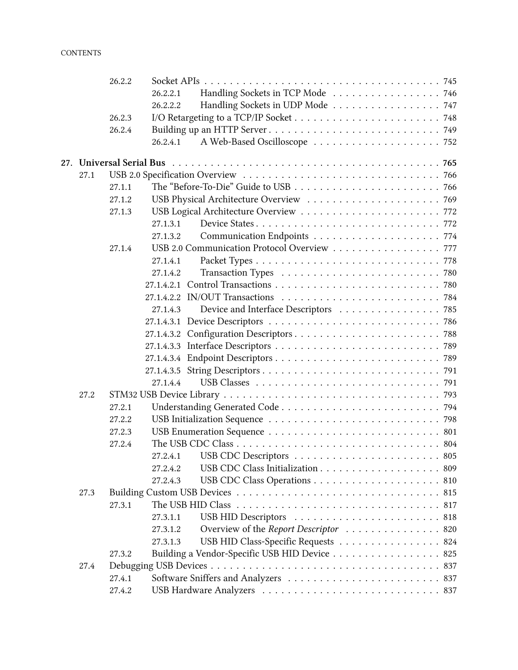|      | 26.2.2 |                                                                                                             |
|------|--------|-------------------------------------------------------------------------------------------------------------|
|      |        | Handling Sockets in TCP Mode 746<br>26.2.2.1                                                                |
|      |        | Handling Sockets in UDP Mode 747<br>26.2.2.2                                                                |
|      | 26.2.3 |                                                                                                             |
|      | 26.2.4 |                                                                                                             |
|      |        | 26.2.4.1                                                                                                    |
|      |        |                                                                                                             |
| 27.1 |        |                                                                                                             |
|      | 27.1.1 |                                                                                                             |
|      | 27.1.2 |                                                                                                             |
|      | 27.1.3 |                                                                                                             |
|      |        | Device States772<br>27.1.3.1                                                                                |
|      |        | 27.1.3.2                                                                                                    |
|      | 27.1.4 | USB 2.0 Communication Protocol Overview 777                                                                 |
|      |        | 27.1.4.1                                                                                                    |
|      |        | 27.1.4.2                                                                                                    |
|      |        | 27.1.4.2.1                                                                                                  |
|      |        |                                                                                                             |
|      |        | Device and Interface Descriptors 785<br>27.1.4.3                                                            |
|      |        |                                                                                                             |
|      |        |                                                                                                             |
|      |        |                                                                                                             |
|      |        |                                                                                                             |
|      |        |                                                                                                             |
|      |        | 27.1.4.4                                                                                                    |
| 27.2 |        |                                                                                                             |
|      | 27.2.1 |                                                                                                             |
|      | 27.2.2 |                                                                                                             |
|      | 27.2.3 |                                                                                                             |
|      | 27.2.4 |                                                                                                             |
|      |        |                                                                                                             |
|      |        | 27.2.4.2                                                                                                    |
|      |        | 27.2.4.3                                                                                                    |
| 27.3 |        |                                                                                                             |
|      | 27.3.1 | The USB HID Class $\ldots \ldots \ldots \ldots \ldots \ldots \ldots \ldots \ldots \ldots \ldots \ldots 817$ |
|      |        | 27.3.1.1                                                                                                    |
|      |        | Overview of the Report Descriptor  820<br>27.3.1.2                                                          |
|      |        | USB HID Class-Specific Requests  824<br>27.3.1.3                                                            |
|      | 27.3.2 | Building a Vendor-Specific USB HID Device 825                                                               |
| 27.4 |        |                                                                                                             |
|      | 27.4.1 |                                                                                                             |
|      | 27.4.2 |                                                                                                             |